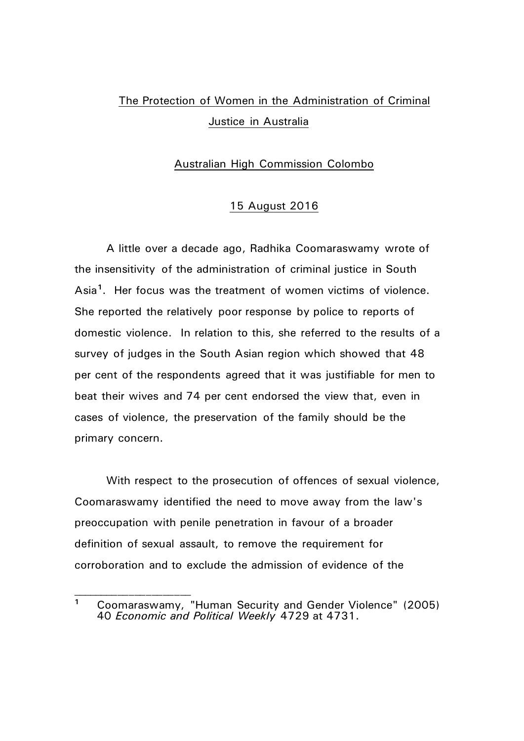## The Protection of Women in the Administration of Criminal Justice in Australia

## Australian High Commission Colombo

## 15 August 2016

A little over a decade ago, Radhika Coomaraswamy wrote of the insensitivity of the administration of criminal justice in South Asia**[1](#page-0-0)**. Her focus was the treatment of women victims of violence. She reported the relatively poor response by police to reports of domestic violence. In relation to this, she referred to the results of a survey of judges in the South Asian region which showed that 48 per cent of the respondents agreed that it was justifiable for men to beat their wives and 74 per cent endorsed the view that, even in cases of violence, the preservation of the family should be the primary concern.

With respect to the prosecution of offences of sexual violence, Coomaraswamy identified the need to move away from the law's preoccupation with penile penetration in favour of a broader definition of sexual assault, to remove the requirement for corroboration and to exclude the admission of evidence of the

<span id="page-0-0"></span>**<sup>1</sup>** Coomaraswamy, "Human Security and Gender Violence" (2005) 40 *Economic and Political Weekly* 4729 at 4731.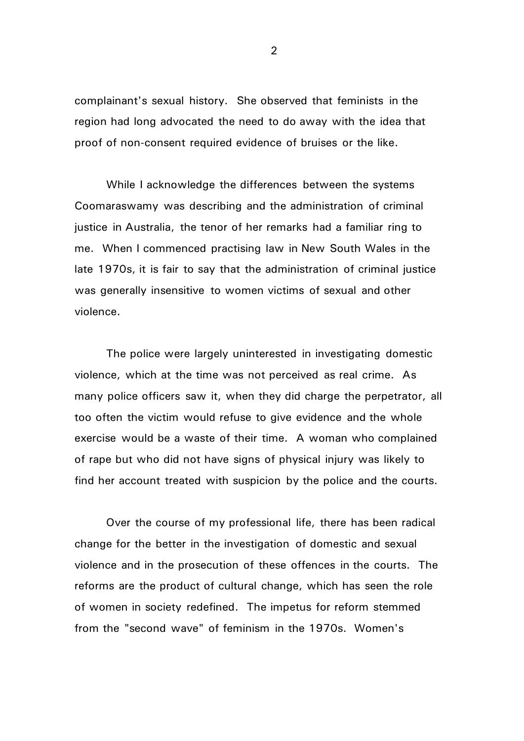complainant's sexual history. She observed that feminists in the region had long advocated the need to do away with the idea that proof of non-consent required evidence of bruises or the like.

While I acknowledge the differences between the systems Coomaraswamy was describing and the administration of criminal justice in Australia, the tenor of her remarks had a familiar ring to me. When I commenced practising law in New South Wales in the late 1970s, it is fair to say that the administration of criminal justice was generally insensitive to women victims of sexual and other violence.

The police were largely uninterested in investigating domestic violence, which at the time was not perceived as real crime. As many police officers saw it, when they did charge the perpetrator, all too often the victim would refuse to give evidence and the whole exercise would be a waste of their time. A woman who complained of rape but who did not have signs of physical injury was likely to find her account treated with suspicion by the police and the courts.

Over the course of my professional life, there has been radical change for the better in the investigation of domestic and sexual violence and in the prosecution of these offences in the courts. The reforms are the product of cultural change, which has seen the role of women in society redefined. The impetus for reform stemmed from the "second wave" of feminism in the 1970s. Women's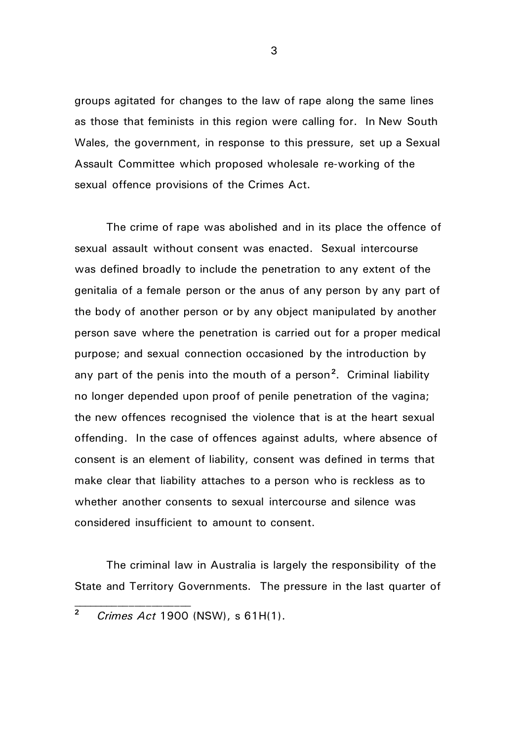groups agitated for changes to the law of rape along the same lines as those that feminists in this region were calling for. In New South Wales, the government, in response to this pressure, set up a Sexual Assault Committee which proposed wholesale re-working of the sexual offence provisions of the Crimes Act.

The crime of rape was abolished and in its place the offence of sexual assault without consent was enacted. Sexual intercourse was defined broadly to include the penetration to any extent of the genitalia of a female person or the anus of any person by any part of the body of another person or by any object manipulated by another person save where the penetration is carried out for a proper medical purpose; and sexual connection occasioned by the introduction by any part of the penis into the mouth of a person**[2](#page-2-0)**. Criminal liability no longer depended upon proof of penile penetration of the vagina; the new offences recognised the violence that is at the heart sexual offending. In the case of offences against adults, where absence of consent is an element of liability, consent was defined in terms that make clear that liability attaches to a person who is reckless as to whether another consents to sexual intercourse and silence was considered insufficient to amount to consent.

The criminal law in Australia is largely the responsibility of the State and Territory Governments. The pressure in the last quarter of

 $\overline{\phantom{a}}$  , where  $\overline{\phantom{a}}$ 

<span id="page-2-0"></span>**<sup>2</sup>** *Crimes Act* 1900 (NSW), s 61H(1).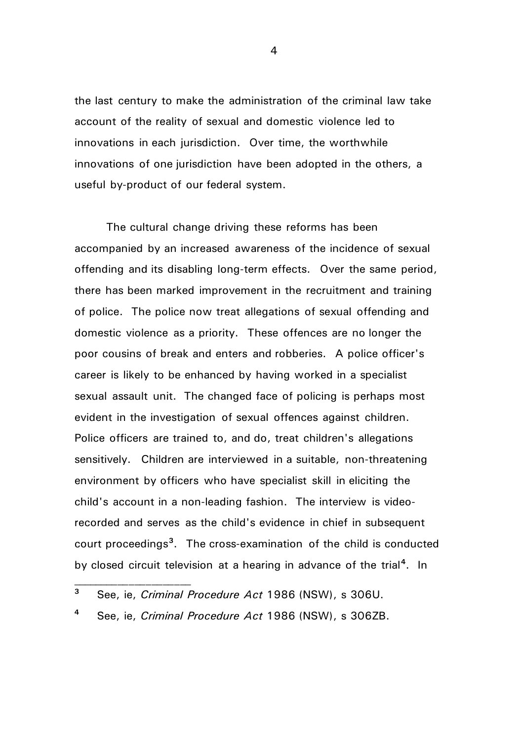the last century to make the administration of the criminal law take account of the reality of sexual and domestic violence led to innovations in each jurisdiction. Over time, the worthwhile innovations of one jurisdiction have been adopted in the others, a useful by-product of our federal system.

The cultural change driving these reforms has been accompanied by an increased awareness of the incidence of sexual offending and its disabling long-term effects. Over the same period, there has been marked improvement in the recruitment and training of police. The police now treat allegations of sexual offending and domestic violence as a priority. These offences are no longer the poor cousins of break and enters and robberies. A police officer's career is likely to be enhanced by having worked in a specialist sexual assault unit. The changed face of policing is perhaps most evident in the investigation of sexual offences against children. Police officers are trained to, and do, treat children's allegations sensitively. Children are interviewed in a suitable, non-threatening environment by officers who have specialist skill in eliciting the child's account in a non-leading fashion. The interview is videorecorded and serves as the child's evidence in chief in subsequent court proceedings**[3](#page-3-0)**. The cross-examination of the child is conducted by closed circuit television at a hearing in advance of the trial**[4](#page-3-1)**. In

<span id="page-3-1"></span>**<sup>4</sup>** See, ie, *Criminal Procedure Act* 1986 (NSW), s 306ZB.

 $\overline{\phantom{a}}$  , where  $\overline{\phantom{a}}$ 

<span id="page-3-0"></span>**<sup>3</sup>** See, ie, *Criminal Procedure Act* 1986 (NSW), s 306U.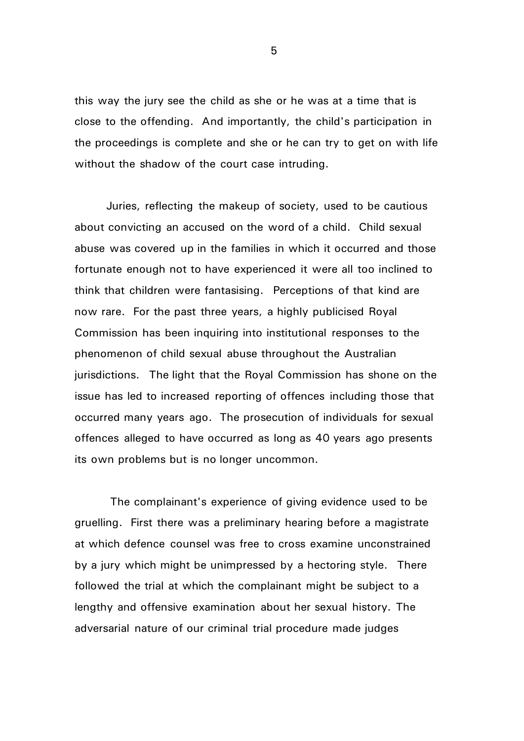this way the jury see the child as she or he was at a time that is close to the offending. And importantly, the child's participation in the proceedings is complete and she or he can try to get on with life without the shadow of the court case intruding.

Juries, reflecting the makeup of society, used to be cautious about convicting an accused on the word of a child. Child sexual abuse was covered up in the families in which it occurred and those fortunate enough not to have experienced it were all too inclined to think that children were fantasising. Perceptions of that kind are now rare. For the past three years, a highly publicised Royal Commission has been inquiring into institutional responses to the phenomenon of child sexual abuse throughout the Australian jurisdictions. The light that the Royal Commission has shone on the issue has led to increased reporting of offences including those that occurred many years ago. The prosecution of individuals for sexual offences alleged to have occurred as long as 40 years ago presents its own problems but is no longer uncommon.

The complainant's experience of giving evidence used to be gruelling. First there was a preliminary hearing before a magistrate at which defence counsel was free to cross examine unconstrained by a jury which might be unimpressed by a hectoring style. There followed the trial at which the complainant might be subject to a lengthy and offensive examination about her sexual history. The adversarial nature of our criminal trial procedure made judges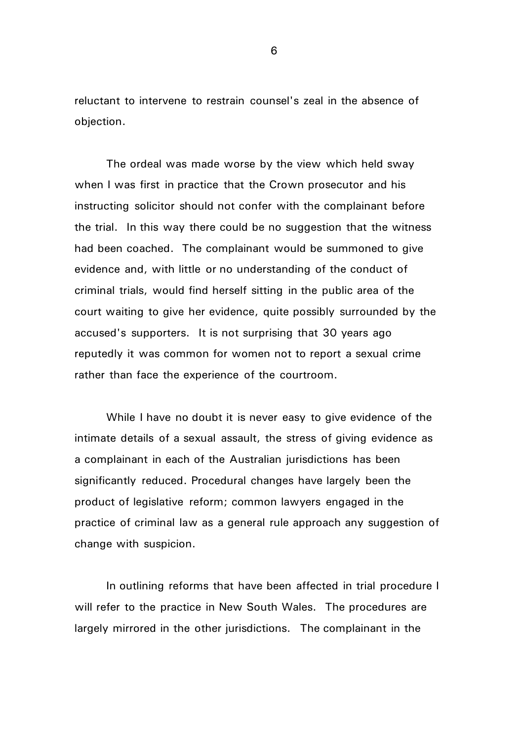reluctant to intervene to restrain counsel's zeal in the absence of objection.

The ordeal was made worse by the view which held sway when I was first in practice that the Crown prosecutor and his instructing solicitor should not confer with the complainant before the trial. In this way there could be no suggestion that the witness had been coached. The complainant would be summoned to give evidence and, with little or no understanding of the conduct of criminal trials, would find herself sitting in the public area of the court waiting to give her evidence, quite possibly surrounded by the accused's supporters. It is not surprising that 30 years ago reputedly it was common for women not to report a sexual crime rather than face the experience of the courtroom.

While I have no doubt it is never easy to give evidence of the intimate details of a sexual assault, the stress of giving evidence as a complainant in each of the Australian jurisdictions has been significantly reduced. Procedural changes have largely been the product of legislative reform; common lawyers engaged in the practice of criminal law as a general rule approach any suggestion of change with suspicion.

In outlining reforms that have been affected in trial procedure I will refer to the practice in New South Wales. The procedures are largely mirrored in the other jurisdictions. The complainant in the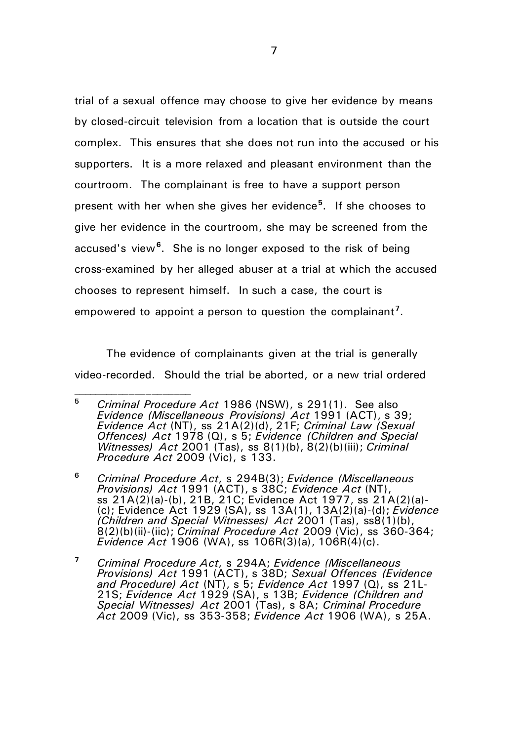trial of a sexual offence may choose to give her evidence by means by closed-circuit television from a location that is outside the court complex. This ensures that she does not run into the accused or his supporters. It is a more relaxed and pleasant environment than the courtroom. The complainant is free to have a support person present with her when she gives her evidence**[5](#page-6-0)**. If she chooses to give her evidence in the courtroom, she may be screened from the accused's view**[6](#page-6-1)**. She is no longer exposed to the risk of being cross-examined by her alleged abuser at a trial at which the accused chooses to represent himself. In such a case, the court is empowered to appoint a person to question the complainant'.

The evidence of complainants given at the trial is generally video-recorded. Should the trial be aborted, or a new trial ordered

<span id="page-6-0"></span>**<sup>5</sup>** *Criminal Procedure Act* 1986 (NSW), s 291(1). See also *Evidence (Miscellaneous Provisions) Act* 1991 (ACT), s 39; *Evidence Act* (NT), ss 21A(2)(d), 21F; *Criminal Law (Sexual Offences) Act* 1978 (Q), s 5; *Evidence (Children and Special Witnesses) Act* 2001 (Tas), ss 8(1)(b), 8(2)(b)(iii); *Criminal Procedure Act* 2009 (Vic), s 133.

<span id="page-6-1"></span>**<sup>6</sup>** *Criminal Procedure Act*, s 294B(3); *Evidence (Miscellaneous Provisions) Act* 1991 (ACT), s 38C; *Evidence Act* (NT), ss 21A(2)(a)-(b), 21B, 21C; Evidence Act 1977, ss 21A(2)(a)- (c); Evidence Act 1929 (SA), ss 13A(1), 13A(2)(a)-(d); *Evidence (Children and Special Witnesses) Act* 2001 (Tas), ss8(1)(b), 8(2)(b)(ii)-(iic); *Criminal Procedure Act* 2009 (Vic), ss 360-364; *Evidence Act* 1906 (WA), ss 106R(3)(a), 106R(4)(c).

<span id="page-6-2"></span>**<sup>7</sup>** *Criminal Procedure Act*, s 294A; *Evidence (Miscellaneous Provisions) Act* 1991 (ACT), s 38D; *Sexual Offences (Evidence*  and Procedure) Act (NT), September 21S; *Evidence (Children and* 21S; *Evidence Act* 1929 (SA), s 13B; *Evidence (Children and Special Witnesses) Act* 2001 (Tas), s 8A; *Criminal Procedure Act* 2009 (Vic), ss 353-358; *Evidence Act* 1906 (WA), s 25A.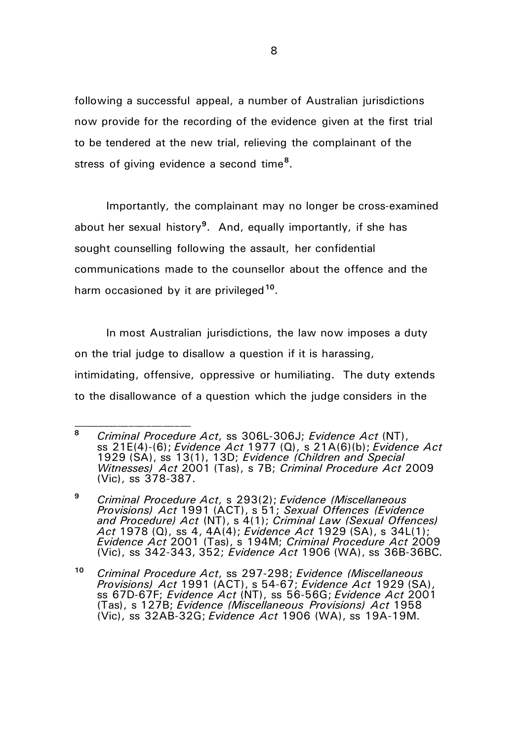following a successful appeal, a number of Australian jurisdictions now provide for the recording of the evidence given at the first trial to be tendered at the new trial, relieving the complainant of the stress of giving evidence a second time**[8](#page-7-0)**.

Importantly, the complainant may no longer be cross-examined about her sexual history**[9](#page-7-1)**. And, equally importantly, if she has sought counselling following the assault, her confidential communications made to the counsellor about the offence and the harm occasioned by it are privileged**[10](#page-7-2)**.

In most Australian jurisdictions, the law now imposes a duty on the trial judge to disallow a question if it is harassing, intimidating, offensive, oppressive or humiliating. The duty extends to the disallowance of a question which the judge considers in the

<span id="page-7-0"></span>**<sup>8</sup>** *Criminal Procedure Act*, ss 306L-306J; *Evidence Act* (NT), ss 21E(4)-(6); *Evidence Act* 1977 (Q), s 21A(6)(b); *Evidence Act* 1929 (SA), ss 13(1), 13D; *Evidence (Children and Special Witnesses) Act* 2001 (Tas), s 7B; *Criminal Procedure Act* 2009 (Vic), ss 378-387.

<span id="page-7-1"></span>**<sup>9</sup>** *Criminal Procedure Act*, s 293(2); *Evidence (Miscellaneous Provisions) Act* 1991 (ACT), s 51; *Sexual Offences (Evidence and Procedure) Act* (NT), s 4(1); *Criminal Law (Sexual Offences) Act* 1978 (Q), ss 4, 4A(4); *Evidence Act* 1929 (SA), s 34L(1); *Evidence Act* 2001 (Tas), s 194M; *Criminal Procedure Act* 2009 (Vic), ss 342-343, 352; *Evidence Act* 1906 (WA), ss 36B-36BC.

<span id="page-7-2"></span>**<sup>10</sup>** *Criminal Procedure Act*, ss 297-298; *Evidence (Miscellaneous Provisions) Act* 1991 (ACT), s 54-67; *Evidence Act* 1929 (SA), ss 67D-67F; *Evidence Act* (NT), ss 56-56G; *Evidence Act* 2001 (Tas), s 127B; *Evidence (Miscellaneous Provisions) Act* 1958 (Vic), ss 32AB-32G; *Evidence Act* 1906 (WA), ss 19A-19M.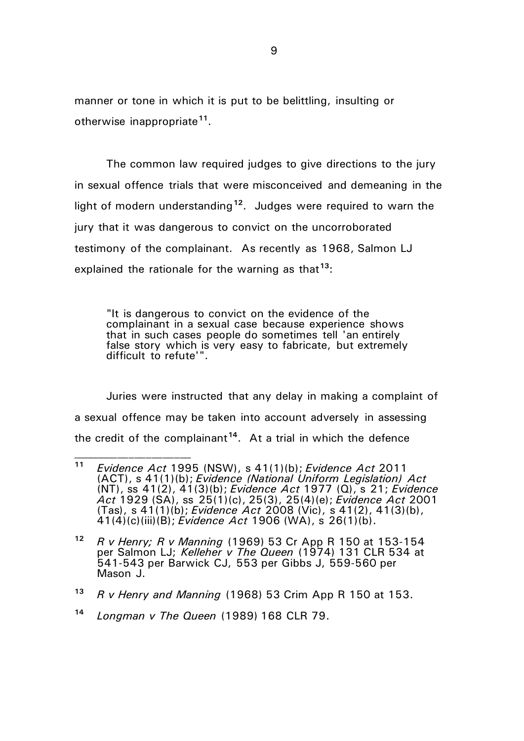manner or tone in which it is put to be belittling, insulting or otherwise inappropriate**[11](#page-8-0)**.

The common law required judges to give directions to the jury in sexual offence trials that were misconceived and demeaning in the light of modern understanding**[12](#page-8-1)**. Judges were required to warn the jury that it was dangerous to convict on the uncorroborated testimony of the complainant. As recently as 1968, Salmon LJ explained the rationale for the warning as that**[13](#page-8-2)**:

"It is dangerous to convict on the evidence of the complainant in a sexual case because experience shows that in such cases people do sometimes tell 'an entirely false story which is very easy to fabricate, but extremely difficult to refute'".

Juries were instructed that any delay in making a complaint of a sexual offence may be taken into account adversely in assessing the credit of the complainant**[14](#page-8-3)**. At a trial in which the defence

<span id="page-8-0"></span>**<sup>11</sup>** *Evidence Act* 1995 (NSW), s 41(1)(b); *Evidence Act* 2011 (ACT), s 41(1)(b); *Evidence (National Uniform Legislation) Act* (NT), ss 41(2), 41(3)(b); *Evidence Act* 1977 (Q), s 21; *Evidence Act* 1929 (SA), ss 25(1)(c), 25(3), 25(4)(e); *Evidence Act* 2001 (Tas), s 41(1)(b); *Evidence Act* 2008 (Vic), s 41(2), 41(3)(b), 41(4)(c)(iii)(B); *Evidence Act* 1906 (WA), s 26(1)(b).

<span id="page-8-1"></span>**<sup>12</sup>** *R v Henry; R v Manning* (1969) 53 Cr App R 150 at 153-154 per Salmon LJ; *Kelleher v The Queen* (1974) 131 CLR 534 at 541-543 per Barwick CJ, 553 per Gibbs J, 559-560 per Mason J.

<span id="page-8-2"></span>**<sup>13</sup>** *R v Henry and Manning* (1968) 53 Crim App R 150 at 153.

<span id="page-8-3"></span>**<sup>14</sup>** *Longman v The Queen* (1989) 168 CLR 79.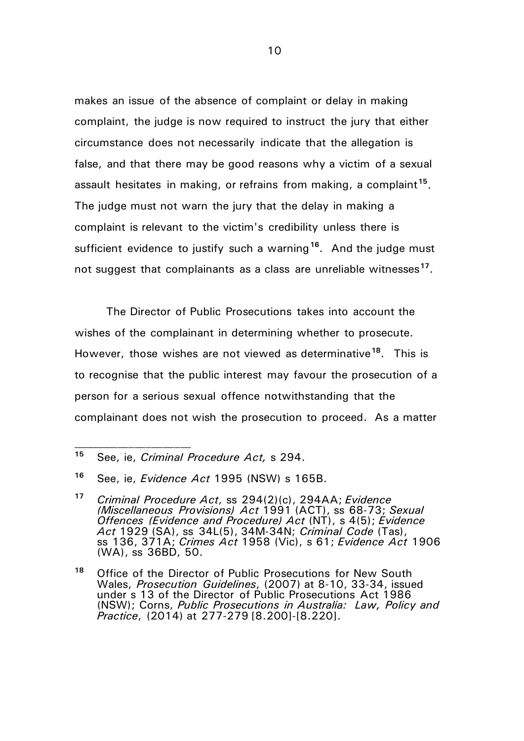makes an issue of the absence of complaint or delay in making complaint, the judge is now required to instruct the jury that either circumstance does not necessarily indicate that the allegation is false, and that there may be good reasons why a victim of a sexual assault hesitates in making, or refrains from making, a complaint**[15](#page-9-0)**. The judge must not warn the jury that the delay in making a complaint is relevant to the victim's credibility unless there is sufficient evidence to justify such a warning**[16](#page-9-1)**. And the judge must not suggest that complainants as a class are unreliable witnesses**[17](#page-9-2)**.

The Director of Public Prosecutions takes into account the wishes of the complainant in determining whether to prosecute. However, those wishes are not viewed as determinative**[18](#page-9-3)**. This is to recognise that the public interest may favour the prosecution of a person for a serious sexual offence notwithstanding that the complainant does not wish the prosecution to proceed. As a matter

<span id="page-9-0"></span>**<sup>15</sup>** See, ie, *Criminal Procedure Act,* s 294.

<span id="page-9-1"></span>**<sup>16</sup>** See, ie, *Evidence Act* 1995 (NSW) s 165B.

<span id="page-9-2"></span>**<sup>17</sup>** *Criminal Procedure Act*, ss 294(2)(c), 294AA; *Evidence (Miscellaneous Provisions) Act* 1991 (ACT), ss 68-73; *Sexual Offences (Evidence and Procedure) Act* (NT), s 4(5); *Evidence Act* 1929 (SA), ss 34L(5), 34M-34N; *Criminal Code* (Tas), ss 136, 371A; *Crimes Act* 1958 (Vic), s 61; *Evidence Act* 1906 (WA), ss 36BD, 50.

<span id="page-9-3"></span>**<sup>18</sup>** Office of the Director of Public Prosecutions for New South Wales, *Prosecution Guidelines*, (2007) at 8-10, 33-34, issued under s 13 of the Director of Public Prosecutions Act 1986 (NSW); Corns, *Public Prosecutions in Australia: Law, Policy and Practice*, (2014) at 277-279 [8.200]-[8.220].